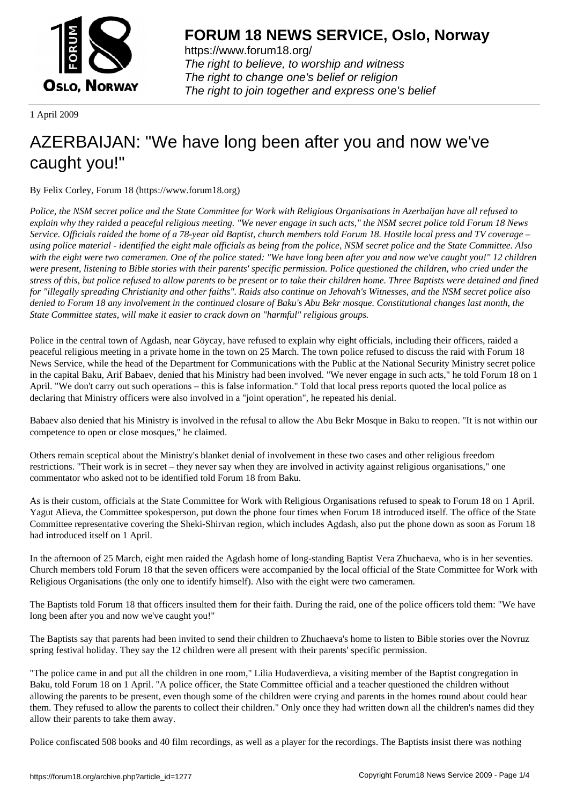

https://www.forum18.org/ The right to believe, to worship and witness The right to change one's belief or religion [The right to join together a](https://www.forum18.org/)nd express one's belief

1 April 2009

## [AZERBAIJAN: "](https://www.forum18.org)We have long been after you and now we've caught you!"

By Felix Corley, Forum 18 (https://www.forum18.org)

*Police, the NSM secret police and the State Committee for Work with Religious Organisations in Azerbaijan have all refused to explain why they raided a peaceful religious meeting. "We never engage in such acts," the NSM secret police told Forum 18 News Service. Officials raided the home of a 78-year old Baptist, church members told Forum 18. Hostile local press and TV coverage – using police material - identified the eight male officials as being from the police, NSM secret police and the State Committee. Also with the eight were two cameramen. One of the police stated: "We have long been after you and now we've caught you!" 12 children were present, listening to Bible stories with their parents' specific permission. Police questioned the children, who cried under the stress of this, but police refused to allow parents to be present or to take their children home. Three Baptists were detained and fined for "illegally spreading Christianity and other faiths". Raids also continue on Jehovah's Witnesses, and the NSM secret police also denied to Forum 18 any involvement in the continued closure of Baku's Abu Bekr mosque. Constitutional changes last month, the State Committee states, will make it easier to crack down on "harmful" religious groups.*

Police in the central town of Agdash, near Göycay, have refused to explain why eight officials, including their officers, raided a peaceful religious meeting in a private home in the town on 25 March. The town police refused to discuss the raid with Forum 18 News Service, while the head of the Department for Communications with the Public at the National Security Ministry secret police in the capital Baku, Arif Babaev, denied that his Ministry had been involved. "We never engage in such acts," he told Forum 18 on 1 April. "We don't carry out such operations – this is false information." Told that local press reports quoted the local police as declaring that Ministry officers were also involved in a "joint operation", he repeated his denial.

Babaev also denied that his Ministry is involved in the refusal to allow the Abu Bekr Mosque in Baku to reopen. "It is not within our competence to open or close mosques," he claimed.

Others remain sceptical about the Ministry's blanket denial of involvement in these two cases and other religious freedom restrictions. "Their work is in secret – they never say when they are involved in activity against religious organisations," one commentator who asked not to be identified told Forum 18 from Baku.

As is their custom, officials at the State Committee for Work with Religious Organisations refused to speak to Forum 18 on 1 April. Yagut Alieva, the Committee spokesperson, put down the phone four times when Forum 18 introduced itself. The office of the State Committee representative covering the Sheki-Shirvan region, which includes Agdash, also put the phone down as soon as Forum 18 had introduced itself on 1 April.

In the afternoon of 25 March, eight men raided the Agdash home of long-standing Baptist Vera Zhuchaeva, who is in her seventies. Church members told Forum 18 that the seven officers were accompanied by the local official of the State Committee for Work with Religious Organisations (the only one to identify himself). Also with the eight were two cameramen.

The Baptists told Forum 18 that officers insulted them for their faith. During the raid, one of the police officers told them: "We have long been after you and now we've caught you!"

The Baptists say that parents had been invited to send their children to Zhuchaeva's home to listen to Bible stories over the Novruz spring festival holiday. They say the 12 children were all present with their parents' specific permission.

"The police came in and put all the children in one room," Lilia Hudaverdieva, a visiting member of the Baptist congregation in Baku, told Forum 18 on 1 April. "A police officer, the State Committee official and a teacher questioned the children without allowing the parents to be present, even though some of the children were crying and parents in the homes round about could hear them. They refused to allow the parents to collect their children." Only once they had written down all the children's names did they allow their parents to take them away.

Police confiscated 508 books and 40 film recordings, as well as a player for the recordings. The Baptists insist there was nothing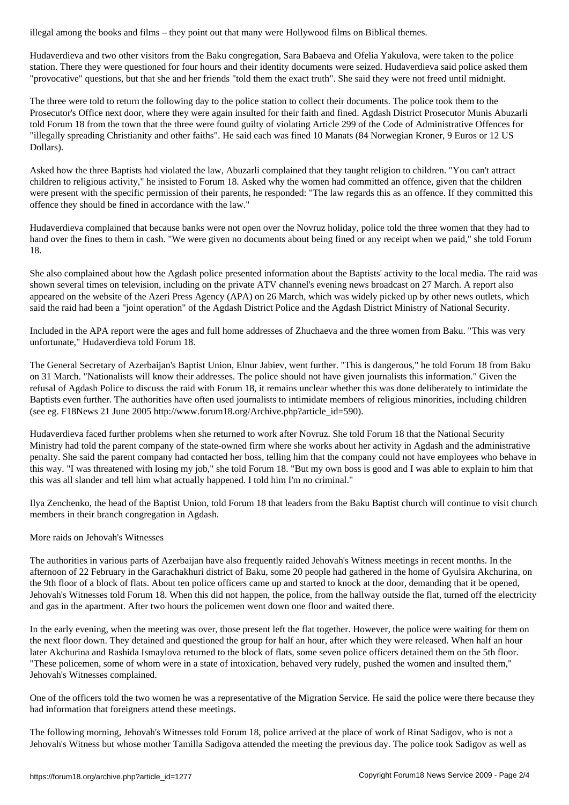Hudaverdieva and two other visitors from the Baku congregation, Sara Babaeva and Ofelia Yakulova, were taken to the police station. There they were questioned for four hours and their identity documents were seized. Hudaverdieva said police asked them "provocative" questions, but that she and her friends "told them the exact truth". She said they were not freed until midnight.

The three were told to return the following day to the police station to collect their documents. The police took them to the Prosecutor's Office next door, where they were again insulted for their faith and fined. Agdash District Prosecutor Munis Abuzarli told Forum 18 from the town that the three were found guilty of violating Article 299 of the Code of Administrative Offences for "illegally spreading Christianity and other faiths". He said each was fined 10 Manats (84 Norwegian Kroner, 9 Euros or 12 US Dollars).

Asked how the three Baptists had violated the law, Abuzarli complained that they taught religion to children. "You can't attract children to religious activity," he insisted to Forum 18. Asked why the women had committed an offence, given that the children were present with the specific permission of their parents, he responded: "The law regards this as an offence. If they committed this offence they should be fined in accordance with the law."

Hudaverdieva complained that because banks were not open over the Novruz holiday, police told the three women that they had to hand over the fines to them in cash. "We were given no documents about being fined or any receipt when we paid," she told Forum 18.

She also complained about how the Agdash police presented information about the Baptists' activity to the local media. The raid was shown several times on television, including on the private ATV channel's evening news broadcast on 27 March. A report also appeared on the website of the Azeri Press Agency (APA) on 26 March, which was widely picked up by other news outlets, which said the raid had been a "joint operation" of the Agdash District Police and the Agdash District Ministry of National Security.

Included in the APA report were the ages and full home addresses of Zhuchaeva and the three women from Baku. "This was very unfortunate," Hudaverdieva told Forum 18.

The General Secretary of Azerbaijan's Baptist Union, Elnur Jabiev, went further. "This is dangerous," he told Forum 18 from Baku on 31 March. "Nationalists will know their addresses. The police should not have given journalists this information." Given the refusal of Agdash Police to discuss the raid with Forum 18, it remains unclear whether this was done deliberately to intimidate the Baptists even further. The authorities have often used journalists to intimidate members of religious minorities, including children (see eg. F18News 21 June 2005 http://www.forum18.org/Archive.php?article\_id=590).

Hudaverdieva faced further problems when she returned to work after Novruz. She told Forum 18 that the National Security Ministry had told the parent company of the state-owned firm where she works about her activity in Agdash and the administrative penalty. She said the parent company had contacted her boss, telling him that the company could not have employees who behave in this way. "I was threatened with losing my job," she told Forum 18. "But my own boss is good and I was able to explain to him that this was all slander and tell him what actually happened. I told him I'm no criminal."

Ilya Zenchenko, the head of the Baptist Union, told Forum 18 that leaders from the Baku Baptist church will continue to visit church members in their branch congregation in Agdash.

## More raids on Jehovah's Witnesses

The authorities in various parts of Azerbaijan have also frequently raided Jehovah's Witness meetings in recent months. In the afternoon of 22 February in the Garachakhuri district of Baku, some 20 people had gathered in the home of Gyulsira Akchurina, on the 9th floor of a block of flats. About ten police officers came up and started to knock at the door, demanding that it be opened, Jehovah's Witnesses told Forum 18. When this did not happen, the police, from the hallway outside the flat, turned off the electricity and gas in the apartment. After two hours the policemen went down one floor and waited there.

In the early evening, when the meeting was over, those present left the flat together. However, the police were waiting for them on the next floor down. They detained and questioned the group for half an hour, after which they were released. When half an hour later Akchurina and Rashida Ismaylova returned to the block of flats, some seven police officers detained them on the 5th floor. "These policemen, some of whom were in a state of intoxication, behaved very rudely, pushed the women and insulted them," Jehovah's Witnesses complained.

One of the officers told the two women he was a representative of the Migration Service. He said the police were there because they had information that foreigners attend these meetings.

The following morning, Jehovah's Witnesses told Forum 18, police arrived at the place of work of Rinat Sadigov, who is not a Jehovah's Witness but whose mother Tamilla Sadigova attended the meeting the previous day. The police took Sadigov as well as